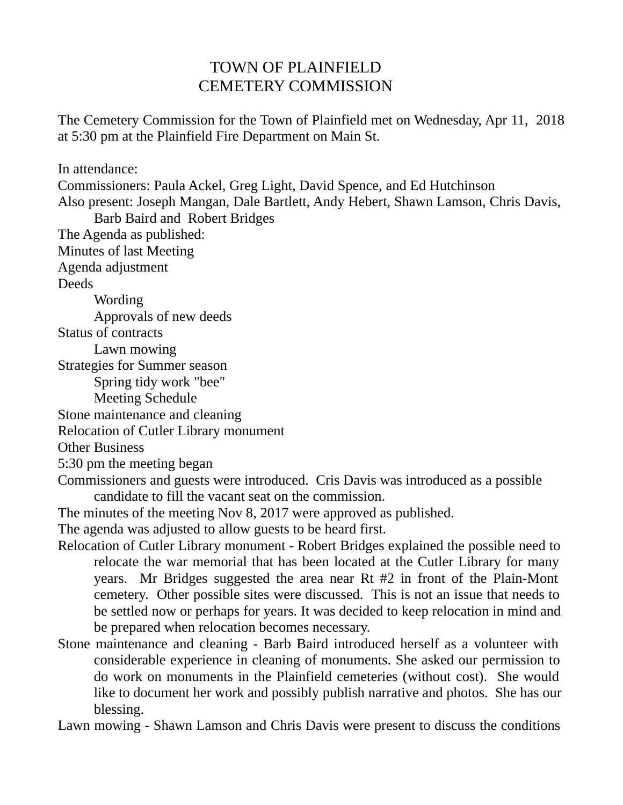## TOWN OF PLAINFIELD CEMETERY COMMISSION

The Cemetery Commission for the Town of Plainfield met on Wednesday, Apr 11, 2018 at 5:30 pm at the Plainfield Fire Department on Main St.

In attendance: Commissioners: Paula Ackel, Greg Light, David Spence, and Ed Hutchinson Also present: Joseph Mangan, Dale Bartlett, Andy Hebert, Shawn Lamson, Chris Davis, Barb Baird and Robert Bridges The Agenda as published: Minutes of last Meeting Agenda adjustment **Deeds Wording** Approvals of new deeds Status of contracts Lawn mowing Strategies for Summer season Spring tidy work "bee" Meeting Schedule Stone maintenance and cleaning Relocation of Cutler Library monument Other Business 5:30 pm the meeting began Commissioners and guests were introduced. Cris Davis was introduced as a possible candidate to fill the vacant seat on the commission. The minutes of the meeting Nov 8, 2017 were approved as published. The agenda was adjusted to allow guests to be heard first. Relocation of Cutler Library monument - Robert Bridges explained the possible need to relocate the war memorial that has been located at the Cutler Library for many years. Mr Bridges suggested the area near Rt #2 in front of the Plain-Mont cemetery. Other possible sites were discussed. This is not an issue that needs to be settled now or perhaps for years. It was decided to keep relocation in mind and be prepared when relocation becomes necessary. Stone maintenance and cleaning - Barb Baird introduced herself as a volunteer with considerable experience in cleaning of monuments. She asked our permission to

do work on monuments in the Plainfield cemeteries (without cost). She would like to document her work and possibly publish narrative and photos. She has our blessing.

Lawn mowing - Shawn Lamson and Chris Davis were present to discuss the conditions